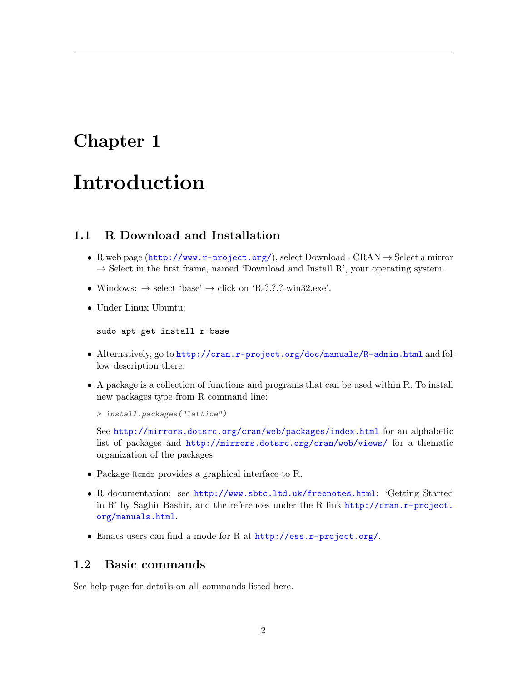## Chapter 1

## Introduction

## 1.1 R Download and Installation

- R web page  $(\text{http://www.r-project.org/}),$  $(\text{http://www.r-project.org/}),$  $(\text{http://www.r-project.org/}),$  select Download CRAN  $\rightarrow$  Select a mirror  $\rightarrow$  Select in the first frame, named 'Download and Install R', your operating system.
- Windows:  $\rightarrow$  select 'base'  $\rightarrow$  click on 'R-?.?.?-win32.exe'.
- Under Linux Ubuntu:

sudo apt-get install r-base

- Alternatively, go to <http://cran.r-project.org/doc/manuals/R-admin.html> and follow description there.
- A package is a collection of functions and programs that can be used within R. To install new packages type from R command line:

```
> install.packages("lattice")
```
See <http://mirrors.dotsrc.org/cran/web/packages/index.html> for an alphabetic list of packages and <http://mirrors.dotsrc.org/cran/web/views/> for a thematic organization of the packages.

- Package Rcmdr provides a graphical interface to R.
- R documentation: see <http://www.sbtc.ltd.uk/freenotes.html>: 'Getting Started in R' by Saghir Bashir, and the references under the R link [http://cran.r-project.](http://cran.r-project.org/manuals.html) [org/manuals.html](http://cran.r-project.org/manuals.html).
- Emacs users can find a mode for R at <http://ess.r-project.org/>.

### 1.2 Basic commands

See help page for details on all commands listed here.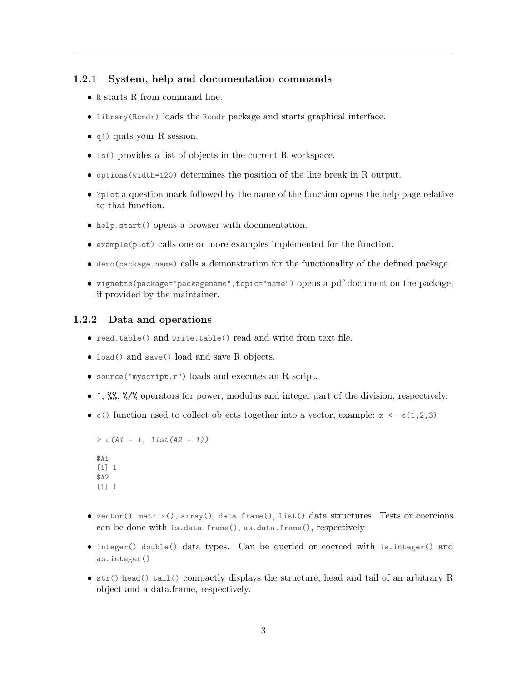#### 1.2.1 System, help and documentation commands

- R starts R from command line.
- library(Rcmdr) loads the Rcmdr package and starts graphical interface.
- q() quits your R session.
- ls() provides a list of objects in the current R workspace.
- options(width=120) determines the position of the line break in R output.
- ?plot a question mark followed by the name of the function opens the help page relative to that function.
- help.start() opens a browser with documentation.
- example(plot) calls one or more examples implemented for the function.
- demo(package.name) calls a demonstration for the functionality of the defined package.
- vignette(package="packagename",topic="name") opens a pdf document on the package, if provided by the maintainer.

#### 1.2.2 Data and operations

- read.table() and write.table() read and write from text file.
- load() and save() load and save R objects.
- source("myscript.r") loads and executes an R script.
- $\hat{\ }$ ,  $\frac{1}{2}$ ,  $\frac{1}{2}$ ,  $\frac{1}{2}$  operators for power, modulus and integer part of the division, respectively.
- c() function used to collect objects together into a vector, example:  $x \leq c(1,2,3)$

```
> c(A1 = 1, list(A2 = 1))$A1
[1] 1
$A2
\lceil 1 \rceil 1
```
- vector(), matrix(), array(), data.frame(), list() data structures. Tests or coercions can be done with is.data.frame(), as.data.frame(), respectively
- integer() double() data types. Can be queried or coerced with is.integer() and as.integer()
- str() head() tail() compactly displays the structure, head and tail of an arbitrary R object and a data.frame, respectively.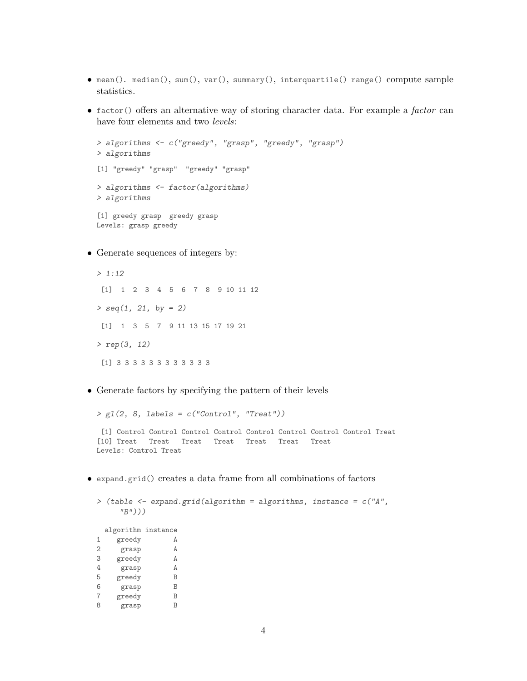- mean(). median(), sum(), var(), summary(), interquartile() range() compute sample statistics.
- $\bullet$  factor() offers an alternative way of storing character data. For example a *factor* can have four elements and two levels:

```
> algorithms <- c("greedy", "grasp", "greedy", "grasp")
> algorithms
[1] "greedy" "grasp" "greedy" "grasp"
> algorithms <- factor(algorithms)
> algorithms
[1] greedy grasp greedy grasp
Levels: grasp greedy
```
• Generate sequences of integers by:

```
> 1:12
[1] 1 2 3 4 5 6 7 8 9 10 11 12
> \text{seq}(1, 21, \text{ by } = 2)[1] 1 3 5 7 9 11 13 15 17 19 21
> rep(3, 12)
[1] 3 3 3 3 3 3 3 3 3 3 3 3
```
• Generate factors by specifying the pattern of their levels

```
> g1(2, 8, labels = c("Control", "Treat"))[1] Control Control Control Control Control Control Control Control Treat
[10] Treat Treat Treat Treat Treat Treat Treat
Levels: Control Treat
```
• expand.grid() creates a data frame from all combinations of factors

```
> (table <- expand.grid(algorithm = algorithms, instance = c("A",
     "B")))
```
algorithm instance 1 greedy A 2 grasp A 3 greedy A 4 grasp A<br>5 greedy B 5 greedy B<br>6 grasp B 6 grasp B<br>7 greedy B 7 greedy 8 grasp B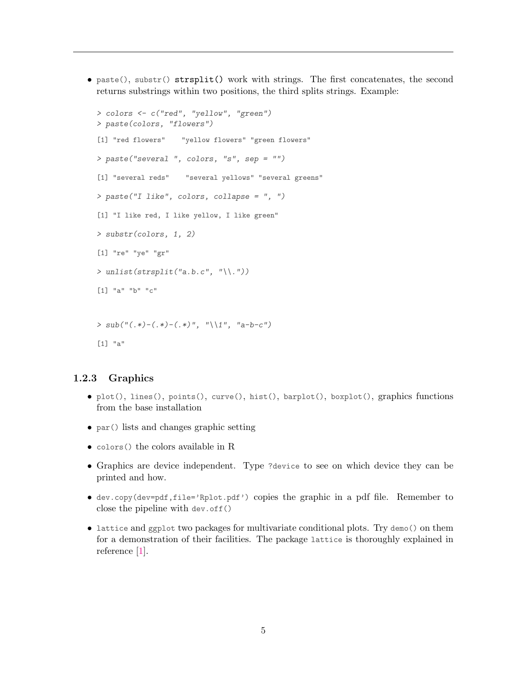<span id="page-3-0"></span> $\bullet$  paste(), substr() strsplit() work with strings. The first concatenates, the second returns substrings within two positions, the third splits strings. Example:

```
> colors <- c("red", "yellow", "green")
> paste(colors, "flowers")
[1] "red flowers" "yellow flowers" "green flowers"
> paste("several ", colors, "s", sep = "")
[1] "several reds" "several yellows" "several greens"
> paste("I like", colors, collapse = ", ")
[1] "I like red, I like yellow, I like green"
> substr(colors, 1, 2)
[1] "re" "ye" "gr"
> unlist(strsplit("a.b.c", "\\."))
[1] "a" "b" "c"
>sub("(.*)-(.*)-(.*)", "\\1", "a-b-c")[1] "a"
```
#### 1.2.3 Graphics

- plot(), lines(), points(), curve(), hist(), barplot(), boxplot(), graphics functions from the base installation
- par() lists and changes graphic setting
- colors() the colors available in R
- Graphics are device independent. Type ?device to see on which device they can be printed and how.
- dev.copy(dev=pdf,file='Rplot.pdf') copies the graphic in a pdf file. Remember to close the pipeline with dev.off()
- lattice and ggplot two packages for multivariate conditional plots. Try demo() on them for a demonstration of their facilities. The package lattice is thoroughly explained in reference [\[1\]](#page-8-0).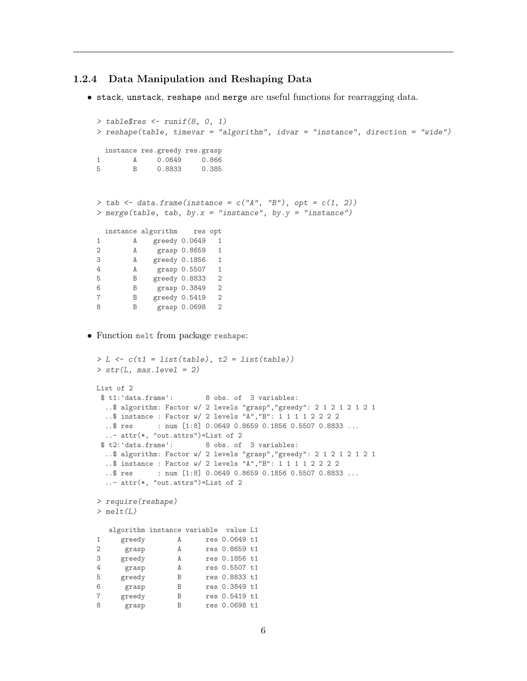#### 1.2.4 Data Manipulation and Reshaping Data

• stack, unstack, reshape and merge are useful functions for rearragging data.

```
> table$res \le runif(8, 0, 1)
 > reshape(table, timevar = "algorithm", idvar = "instance", direction = "wide")
  instance res.greedy res.grasp
 1 A 0.0649 0.866
 5 B 0.8833 0.385
 > tab \leq data.frame(instance = c("A", "B"), opt = c(1, 2))
 > merge(table, tab, by.x = "instance", by.y = "instance")
   instance algorithm res opt
 1 A greedy 0.0649 1
 2 A grasp 0.8659 1
 3 A greedy 0.1856 1
 4 A grasp 0.5507 1
 5 B greedy 0.8833 2
 6 B grasp 0.3849 2
 7 B greedy 0.5419 2<br>8 B grasp 0.0698 2
       8 B grasp 0.0698 2
• Function melt from package reshape:
```

```
> L \leftarrow c(t1 = list(table), t2 = list(table))> str(L, max. level = 2)List of 2<br>$ t1: 'data-frame':8 obs. of 3 variables:
  ..$ algorithm: Factor w/ 2 levels "grasp","greedy": 2 1 2 1 2 1 2 1
  ..$ instance : Factor w/ 2 levels "A","B": 1 1 1 1 2 2 2 2
 ..$ res : num [1:8] 0.0649 0.8659 0.1856 0.5507 0.8833 ...
  ..- attr(*, "out.attrs")=List of 2
 $ t2:'data.frame': 8 obs. of 3 variables:
 ..$ algorithm: Factor w/ 2 levels "grasp","greedy": 2 1 2 1 2 1 2 1
  ..$ instance : Factor w/ 2 levels "A","B": 1 1 1 1 2 2 2 2
 ..$ res : num [1:8] 0.0649 0.8659 0.1856 0.5507 0.8833 ...
  ..- attr(*, "out.attrs")=List of 2
> require(reshape)
> melt(L)algorithm instance variable value L1
1 greedy A res 0.0649 t1
2 grasp A res 0.8659 t1<br>3 greedy A res 0.1856 t1
3 greedy A res 0.1856 t1
4 grasp A res 0.5507 t1
5 greedy B res 0.8833 t1
6 grasp B res 0.3849 t1<br>
7 greedy B res 0.5419 t1<br>
8 grasp B res 0.0698 t1
7 greedy B res 0.5419 t1
8 grasp B res 0.0698 t1
```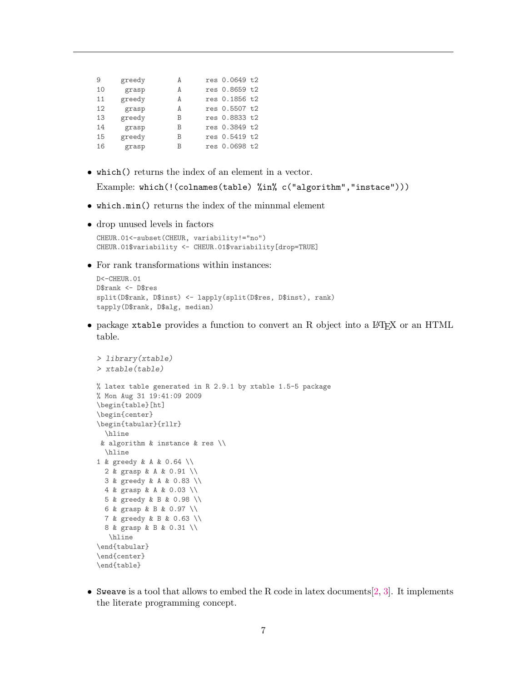<span id="page-5-0"></span>

| 9  | greedy | А | res 0.0649 t2 |  |
|----|--------|---|---------------|--|
| 10 | grasp  | А | res 0.8659 t2 |  |
| 11 | greedy | А | res 0.1856 t2 |  |
| 12 | grasp  | A | res 0.5507 t2 |  |
| 13 | greedy | B | res 0.8833 t2 |  |
| 14 | grasp  | B | res 0.3849 t2 |  |
| 15 | greedy | B | res 0.5419 t2 |  |
| 16 | grasp  | B | res 0.0698 t2 |  |

• which() returns the index of an element in a vector.

Example: which(!(colnames(table) %in% c("algorithm","instace")))

- which.min() returns the index of the minnmal element
- drop unused levels in factors

```
CHEUR.01<-subset(CHEUR, variability!="no")
CHEUR.01$variability <- CHEUR.01$variability[drop=TRUE]
```
• For rank transformations within instances:

```
D<-CHEUR.01
D$rank <- D$res
split(D$rank, D$inst) <- lapply(split(D$res, D$inst), rank)
tapply(D$rank, D$alg, median)
```
• package xtable provides a function to convert an R object into a LATEX or an HTML table.

```
> library(xtable)
> xtable(table)
% latex table generated in R 2.9.1 by xtable 1.5-5 package
% Mon Aug 31 19:41:09 2009
\begin{table}[ht]
\begin{center}
\begin{tabular}{rllr}
 \hline
& algorithm & instance & res \\
 \hline
1 & greedy & A & 0.64 \\
 2 & grasp & A & 0.91 \\
 3 & greedy & A & 0.83 \\
 4 & grasp & A & 0.03 \\
 5 & greedy & B & 0.98 \\
 6 & grasp & B & 0.97 \\
 7 & greedy & B & 0.63 \\
 8 & grasp & B & 0.31 \\
  \hline
\end{tabular}
\end{center}
\end{table}
```
• Sweave is a tool that allows to embed the R code in latex documents  $[2, 3]$  $[2, 3]$  $[2, 3]$ . It implements the literate programming concept.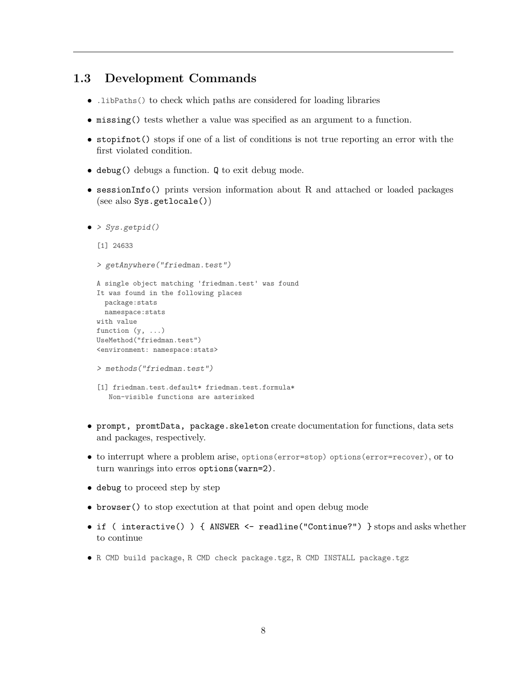### 1.3 Development Commands

- .libPaths() to check which paths are considered for loading libraries
- missing() tests whether a value was specified as an argument to a function.
- stopifnot() stops if one of a list of conditions is not true reporting an error with the first violated condition.
- debug() debugs a function. Q to exit debug mode.
- sessionInfo() prints version information about R and attached or loaded packages (see also Sys.getlocale())

```
\bullet > Sys.getpid()
```

```
[1] 24633
> getAnywhere("friedman.test")
A single object matching 'friedman.test' was found
It was found in the following places
 package:stats
 namespace:stats
with value
function (y, \ldots)UseMethod("friedman.test")
<environment: namespace:stats>
> methods("friedman.test")
[1] friedman.test.default* friedman.test.formula*
  Non-visible functions are asterisked
```
- prompt, promtData, package.skeleton create documentation for functions, data sets and packages, respectively.
- to interrupt where a problem arise, options(error=stop) options(error=recover), or to turn wanrings into erros options(warn=2).
- debug to proceed step by step
- browser() to stop exectution at that point and open debug mode
- if ( interactive() ) { ANSWER <- readline("Continue?") } stops and asks whether to continue
- R CMD build package, R CMD check package.tgz, R CMD INSTALL package.tgz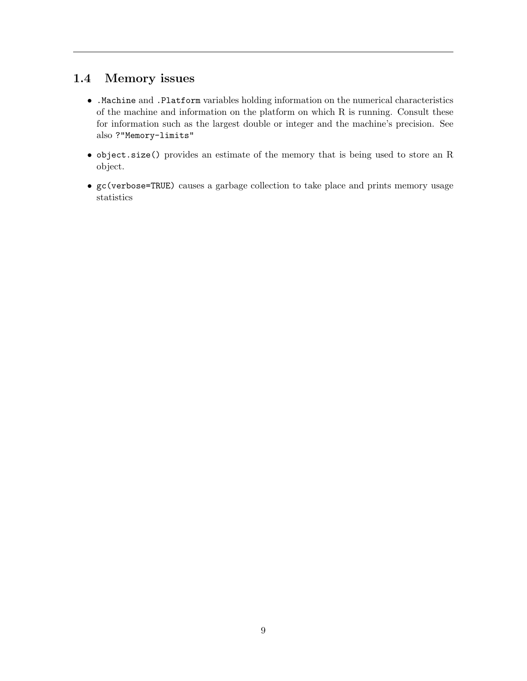## 1.4 Memory issues

- .Machine and .Platform variables holding information on the numerical characteristics of the machine and information on the platform on which R is running. Consult these for information such as the largest double or integer and the machine's precision. See also ?"Memory-limits"
- object.size() provides an estimate of the memory that is being used to store an R object.
- gc(verbose=TRUE) causes a garbage collection to take place and prints memory usage statistics